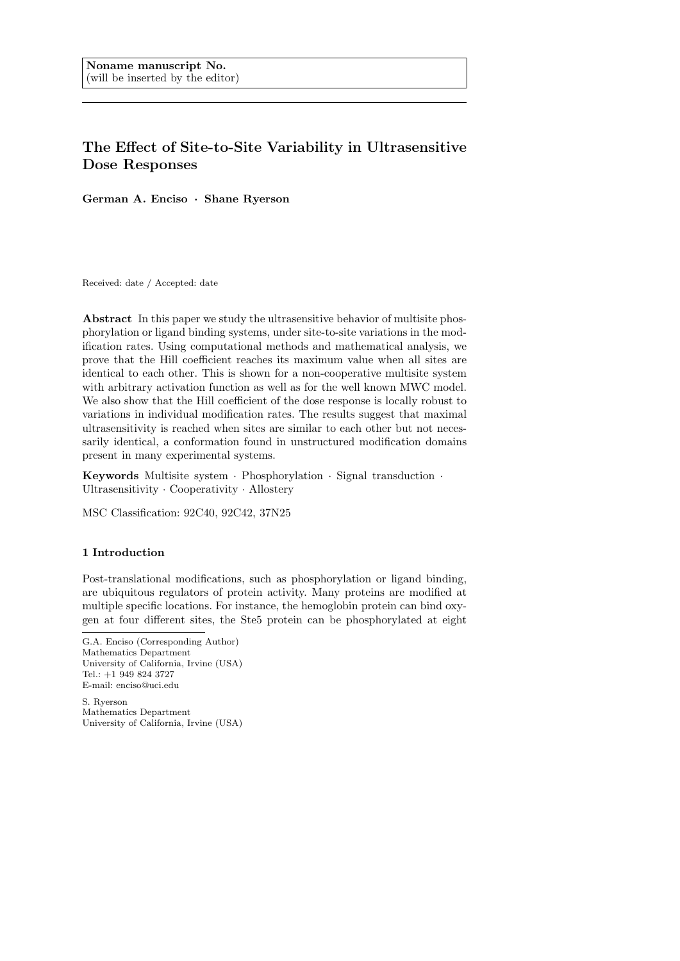# The Effect of Site-to-Site Variability in Ultrasensitive Dose Responses

German A. Enciso · Shane Ryerson

Received: date / Accepted: date

Abstract In this paper we study the ultrasensitive behavior of multisite phosphorylation or ligand binding systems, under site-to-site variations in the modification rates. Using computational methods and mathematical analysis, we prove that the Hill coefficient reaches its maximum value when all sites are identical to each other. This is shown for a non-cooperative multisite system with arbitrary activation function as well as for the well known MWC model. We also show that the Hill coefficient of the dose response is locally robust to variations in individual modification rates. The results suggest that maximal ultrasensitivity is reached when sites are similar to each other but not necessarily identical, a conformation found in unstructured modification domains present in many experimental systems.

Keywords Multisite system · Phosphorylation · Signal transduction · Ultrasensitivity · Cooperativity · Allostery

MSC Classification: 92C40, 92C42, 37N25

## 1 Introduction

Post-translational modifications, such as phosphorylation or ligand binding, are ubiquitous regulators of protein activity. Many proteins are modified at multiple specific locations. For instance, the hemoglobin protein can bind oxygen at four different sites, the Ste5 protein can be phosphorylated at eight

S. Ryerson Mathematics Department University of California, Irvine (USA)

G.A. Enciso (Corresponding Author) Mathematics Department University of California, Irvine (USA) Tel.: +1 949 824 3727 E-mail: enciso@uci.edu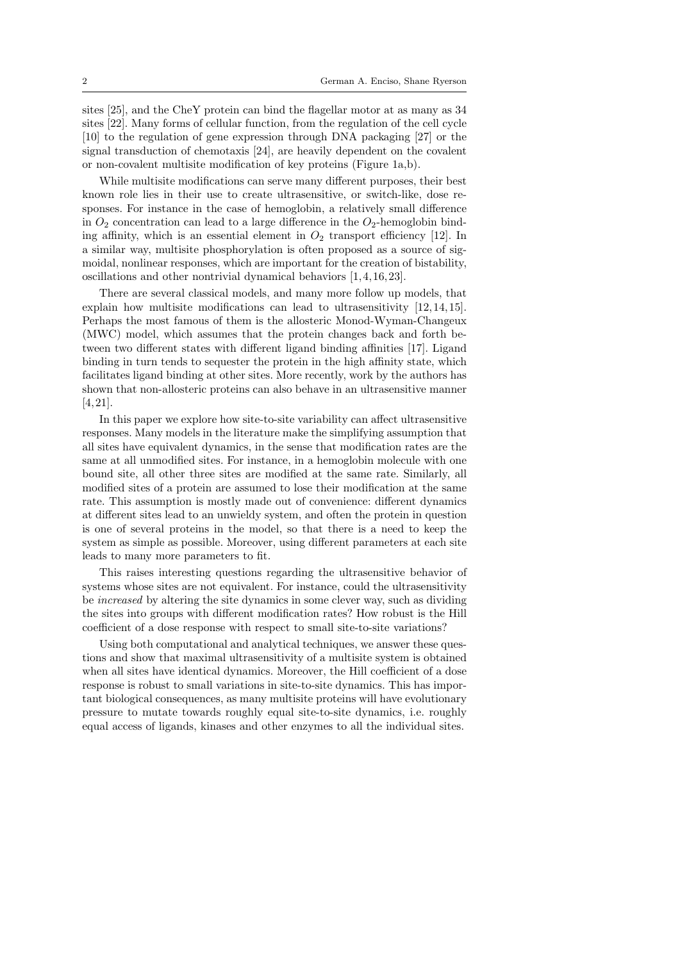sites [25], and the CheY protein can bind the flagellar motor at as many as 34 sites [22]. Many forms of cellular function, from the regulation of the cell cycle [10] to the regulation of gene expression through DNA packaging [27] or the signal transduction of chemotaxis [24], are heavily dependent on the covalent or non-covalent multisite modification of key proteins (Figure 1a,b).

While multisite modifications can serve many different purposes, their best known role lies in their use to create ultrasensitive, or switch-like, dose responses. For instance in the case of hemoglobin, a relatively small difference in  $O_2$  concentration can lead to a large difference in the  $O_2$ -hemoglobin binding affinity, which is an essential element in  $O_2$  transport efficiency [12]. In a similar way, multisite phosphorylation is often proposed as a source of sigmoidal, nonlinear responses, which are important for the creation of bistability, oscillations and other nontrivial dynamical behaviors [1, 4, 16, 23].

There are several classical models, and many more follow up models, that explain how multisite modifications can lead to ultrasensitivity [12, 14, 15]. Perhaps the most famous of them is the allosteric Monod-Wyman-Changeux (MWC) model, which assumes that the protein changes back and forth between two different states with different ligand binding affinities [17]. Ligand binding in turn tends to sequester the protein in the high affinity state, which facilitates ligand binding at other sites. More recently, work by the authors has shown that non-allosteric proteins can also behave in an ultrasensitive manner [4, 21].

In this paper we explore how site-to-site variability can affect ultrasensitive responses. Many models in the literature make the simplifying assumption that all sites have equivalent dynamics, in the sense that modification rates are the same at all unmodified sites. For instance, in a hemoglobin molecule with one bound site, all other three sites are modified at the same rate. Similarly, all modified sites of a protein are assumed to lose their modification at the same rate. This assumption is mostly made out of convenience: different dynamics at different sites lead to an unwieldy system, and often the protein in question is one of several proteins in the model, so that there is a need to keep the system as simple as possible. Moreover, using different parameters at each site leads to many more parameters to fit.

This raises interesting questions regarding the ultrasensitive behavior of systems whose sites are not equivalent. For instance, could the ultrasensitivity be increased by altering the site dynamics in some clever way, such as dividing the sites into groups with different modification rates? How robust is the Hill coefficient of a dose response with respect to small site-to-site variations?

Using both computational and analytical techniques, we answer these questions and show that maximal ultrasensitivity of a multisite system is obtained when all sites have identical dynamics. Moreover, the Hill coefficient of a dose response is robust to small variations in site-to-site dynamics. This has important biological consequences, as many multisite proteins will have evolutionary pressure to mutate towards roughly equal site-to-site dynamics, i.e. roughly equal access of ligands, kinases and other enzymes to all the individual sites.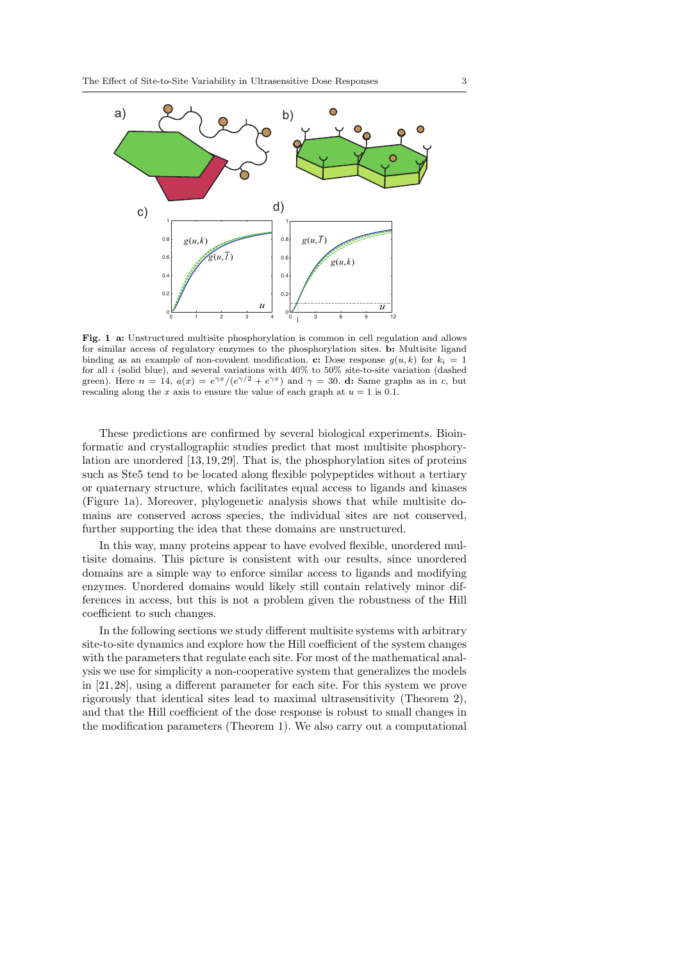

Fig. 1 a: Unstructured multisite phosphorylation is common in cell regulation and allows for similar access of regulatory enzymes to the phosphorylation sites. b: Multisite ligand binding as an example of non-covalent modification. c: Dose response  $g(u, k)$  for  $k_i = 1$ for all i (solid blue), and several variations with  $40\%$  to  $50\%$  site-to-site variation (dashed green). Here  $n = 14$ ,  $a(x) = e^{\gamma x}/(e^{\gamma/2} + e^{\gamma x})$  and  $\gamma = 30$ . **d:** Same graphs as in c, but rescaling along the  $x$  axis to ensure the value of each graph at  $u = 1$  is 0.1.

These predictions are confirmed by several biological experiments. Bioinformatic and crystallographic studies predict that most multisite phosphorylation are unordered [13, 19, 29]. That is, the phosphorylation sites of proteins such as Ste5 tend to be located along flexible polypeptides without a tertiary or quaternary structure, which facilitates equal access to ligands and kinases (Figure 1a). Moreover, phylogenetic analysis shows that while multisite domains are conserved across species, the individual sites are not conserved, further supporting the idea that these domains are unstructured.

In this way, many proteins appear to have evolved flexible, unordered multisite domains. This picture is consistent with our results, since unordered domains are a simple way to enforce similar access to ligands and modifying enzymes. Unordered domains would likely still contain relatively minor differences in access, but this is not a problem given the robustness of the Hill coefficient to such changes.

In the following sections we study different multisite systems with arbitrary site-to-site dynamics and explore how the Hill coefficient of the system changes with the parameters that regulate each site. For most of the mathematical analysis we use for simplicity a non-cooperative system that generalizes the models in [21, 28], using a different parameter for each site. For this system we prove rigorously that identical sites lead to maximal ultrasensitivity (Theorem 2), and that the Hill coefficient of the dose response is robust to small changes in the modification parameters (Theorem 1). We also carry out a computational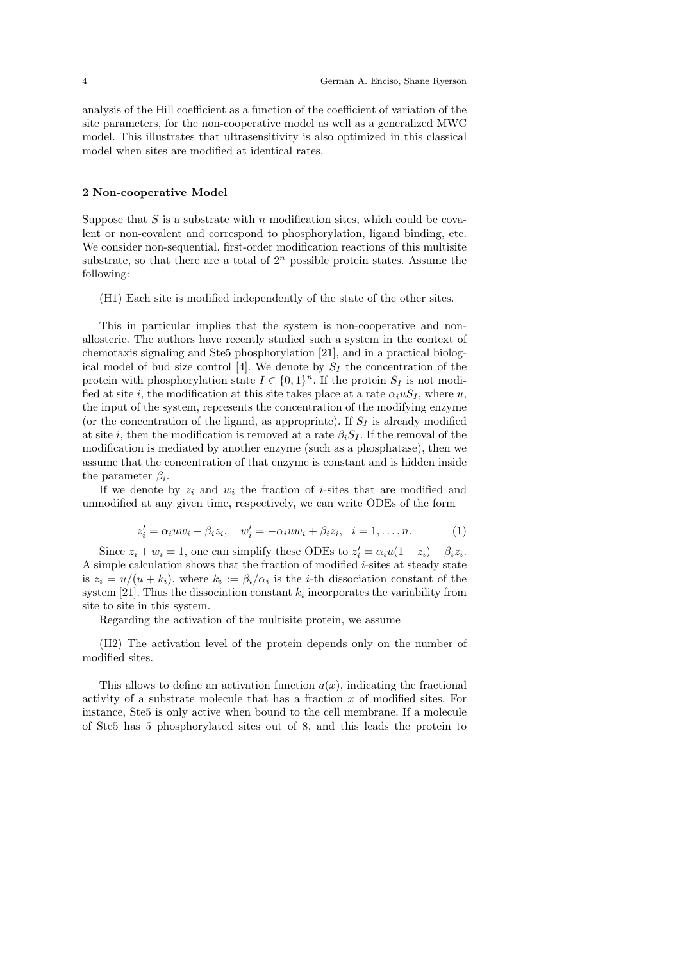analysis of the Hill coefficient as a function of the coefficient of variation of the site parameters, for the non-cooperative model as well as a generalized MWC model. This illustrates that ultrasensitivity is also optimized in this classical model when sites are modified at identical rates.

## 2 Non-cooperative Model

Suppose that  $S$  is a substrate with  $n$  modification sites, which could be covalent or non-covalent and correspond to phosphorylation, ligand binding, etc. We consider non-sequential, first-order modification reactions of this multisite substrate, so that there are a total of  $2<sup>n</sup>$  possible protein states. Assume the following:

(H1) Each site is modified independently of the state of the other sites.

This in particular implies that the system is non-cooperative and nonallosteric. The authors have recently studied such a system in the context of chemotaxis signaling and Ste5 phosphorylation [21], and in a practical biological model of bud size control [4]. We denote by  $S_I$  the concentration of the protein with phosphorylation state  $I \in \{0,1\}^n$ . If the protein  $S_I$  is not modified at site i, the modification at this site takes place at a rate  $\alpha_i u S_I$ , where u, the input of the system, represents the concentration of the modifying enzyme (or the concentration of the ligand, as appropriate). If  $S_I$  is already modified at site i, then the modification is removed at a rate  $\beta_i S_I$ . If the removal of the modification is mediated by another enzyme (such as a phosphatase), then we assume that the concentration of that enzyme is constant and is hidden inside the parameter  $\beta_i$ .

If we denote by  $z_i$  and  $w_i$  the fraction of *i*-sites that are modified and unmodified at any given time, respectively, we can write ODEs of the form

$$
z_i' = \alpha_i uw_i - \beta_i z_i, \quad w_i' = -\alpha_i uw_i + \beta_i z_i, \quad i = 1, \dots, n. \tag{1}
$$

Since  $z_i + w_i = 1$ , one can simplify these ODEs to  $z'_i = \alpha_i u (1 - z_i) - \beta_i z_i$ . A simple calculation shows that the fraction of modified i-sites at steady state is  $z_i = u/(u + k_i)$ , where  $k_i := \beta_i/\alpha_i$  is the *i*-th dissociation constant of the system [21]. Thus the dissociation constant  $k_i$  incorporates the variability from site to site in this system.

Regarding the activation of the multisite protein, we assume

(H2) The activation level of the protein depends only on the number of modified sites.

This allows to define an activation function  $a(x)$ , indicating the fractional activity of a substrate molecule that has a fraction  $x$  of modified sites. For instance, Ste5 is only active when bound to the cell membrane. If a molecule of Ste5 has 5 phosphorylated sites out of 8, and this leads the protein to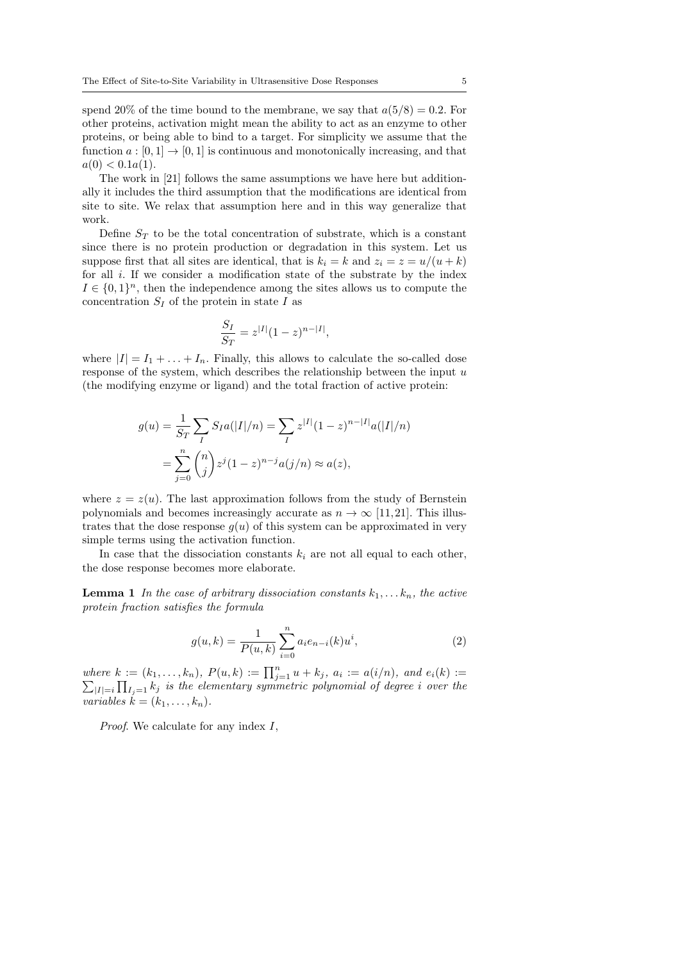spend 20% of the time bound to the membrane, we say that  $a(5/8) = 0.2$ . For other proteins, activation might mean the ability to act as an enzyme to other proteins, or being able to bind to a target. For simplicity we assume that the function  $a:[0,1] \to [0,1]$  is continuous and monotonically increasing, and that  $a(0) < 0.1a(1)$ .

The work in [21] follows the same assumptions we have here but additionally it includes the third assumption that the modifications are identical from site to site. We relax that assumption here and in this way generalize that work.

Define  $S_T$  to be the total concentration of substrate, which is a constant since there is no protein production or degradation in this system. Let us suppose first that all sites are identical, that is  $k_i = k$  and  $z_i = z = u/(u + k)$ for all i. If we consider a modification state of the substrate by the index  $I \in \{0,1\}^n$ , then the independence among the sites allows us to compute the concentration  $S_I$  of the protein in state I as

$$
\frac{S_I}{S_T} = z^{|I|} (1 - z)^{n - |I|},
$$

where  $|I| = I_1 + \ldots + I_n$ . Finally, this allows to calculate the so-called dose response of the system, which describes the relationship between the input  $u$ (the modifying enzyme or ligand) and the total fraction of active protein:

$$
g(u) = \frac{1}{S_T} \sum_{I} S_I a(|I|/n) = \sum_{I} z^{|I|} (1-z)^{n-|I|} a(|I|/n)
$$
  
= 
$$
\sum_{j=0}^{n} {n \choose j} z^j (1-z)^{n-j} a(j/n) \approx a(z),
$$

where  $z = z(u)$ . The last approximation follows from the study of Bernstein polynomials and becomes increasingly accurate as  $n \to \infty$  [11,21]. This illustrates that the dose response  $g(u)$  of this system can be approximated in very simple terms using the activation function.

In case that the dissociation constants  $k_i$  are not all equal to each other, the dose response becomes more elaborate.

**Lemma 1** In the case of arbitrary dissociation constants  $k_1, \ldots, k_n$ , the active protein fraction satisfies the formula

$$
g(u,k) = \frac{1}{P(u,k)} \sum_{i=0}^{n} a_i e_{n-i}(k) u^i,
$$
 (2)

where  $k := (k_1, \ldots, k_n)$ ,  $P(u, k) := \prod_{j=1}^n u + k_j$ ,  $a_i := a(i/n)$ , and  $e_i(k) := \sum_{|I|=i} \prod_{I \subset \{1\}} k_i$  is the elementary symmetric polynomial of degree i over the  $\prod_{|I|=i} \prod_{I_j=1} k_j$  is the elementary symmetric polynomial of degree i over the variables  $k = (k_1, \ldots, k_n)$ .

*Proof.* We calculate for any index  $I$ ,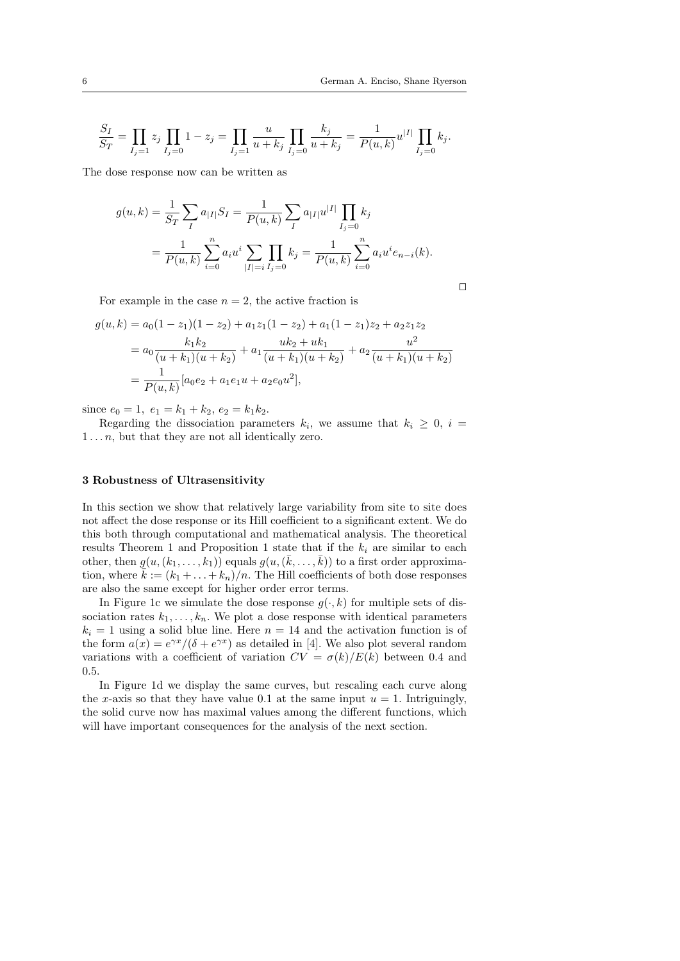$\Box$ 

$$
\frac{S_I}{S_T} = \prod_{I_j=1} z_j \prod_{I_j=0} 1 - z_j = \prod_{I_j=1} \frac{u}{u+k_j} \prod_{I_j=0} \frac{k_j}{u+k_j} = \frac{1}{P(u,k)} u^{|I|} \prod_{I_j=0} k_j.
$$

The dose response now can be written as

$$
g(u,k) = \frac{1}{S_T} \sum_{I} a_{|I|} S_I = \frac{1}{P(u,k)} \sum_{I} a_{|I|} u^{|I|} \prod_{I_j=0} k_j
$$
  
= 
$$
\frac{1}{P(u,k)} \sum_{i=0}^{n} a_i u^i \sum_{|I|=i} \prod_{I_j=0} k_j = \frac{1}{P(u,k)} \sum_{i=0}^{n} a_i u^i e_{n-i}(k).
$$

For example in the case  $n = 2$ , the active fraction is

$$
g(u,k) = a_0(1-z_1)(1-z_2) + a_1z_1(1-z_2) + a_1(1-z_1)z_2 + a_2z_1z_2
$$
  
= 
$$
a_0 \frac{k_1k_2}{(u+k_1)(u+k_2)} + a_1 \frac{uk_2 + uk_1}{(u+k_1)(u+k_2)} + a_2 \frac{u^2}{(u+k_1)(u+k_2)}
$$
  
= 
$$
\frac{1}{P(u,k)} [a_0e_2 + a_1e_1u + a_2e_0u^2],
$$

since  $e_0 = 1, e_1 = k_1 + k_2, e_2 = k_1 k_2.$ 

Regarding the dissociation parameters  $k_i$ , we assume that  $k_i \geq 0$ ,  $i =$  $1 \ldots n$ , but that they are not all identically zero.

## 3 Robustness of Ultrasensitivity

In this section we show that relatively large variability from site to site does not affect the dose response or its Hill coefficient to a significant extent. We do this both through computational and mathematical analysis. The theoretical results Theorem 1 and Proposition 1 state that if the  $k_i$  are similar to each other, then  $g(u,(k_1,\ldots,k_1))$  equals  $g(u,(\bar{k},\ldots,\bar{k}))$  to a first order approximation, where  $\bar{k} := (k_1 + \ldots + k_n)/n$ . The Hill coefficients of both dose responses are also the same except for higher order error terms.

In Figure 1c we simulate the dose response  $g(\cdot, k)$  for multiple sets of dissociation rates  $k_1, \ldots, k_n$ . We plot a dose response with identical parameters  $k_i = 1$  using a solid blue line. Here  $n = 14$  and the activation function is of the form  $a(x) = e^{\gamma x}/(\delta + e^{\gamma x})$  as detailed in [4]. We also plot several random variations with a coefficient of variation  $CV = \sigma(k)/E(k)$  between 0.4 and 0.5.

In Figure 1d we display the same curves, but rescaling each curve along the x-axis so that they have value 0.1 at the same input  $u = 1$ . Intriguingly, the solid curve now has maximal values among the different functions, which will have important consequences for the analysis of the next section.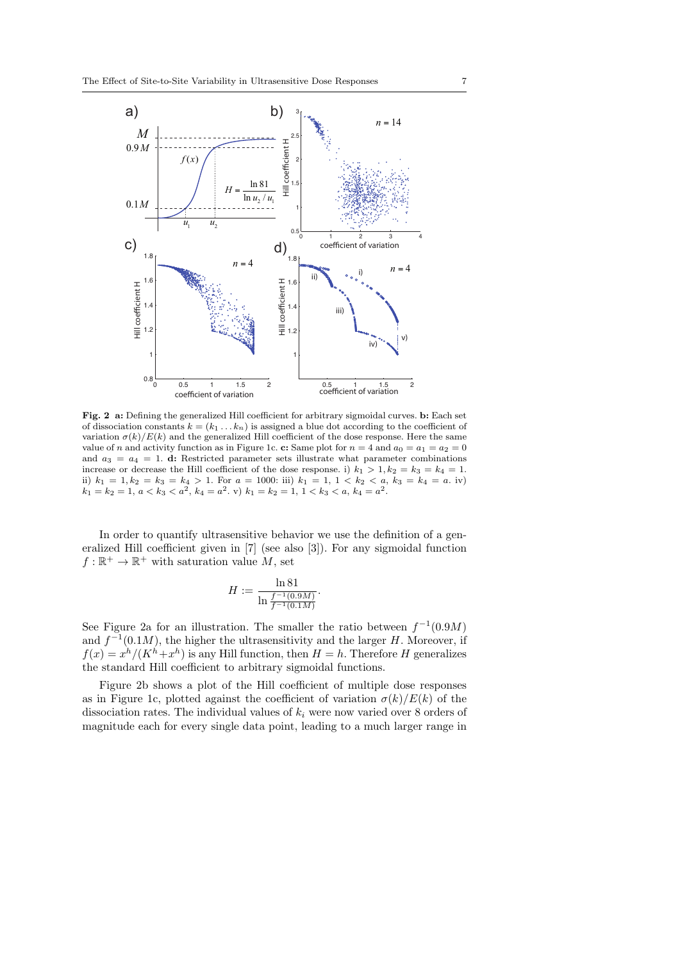

Fig. 2 a: Defining the generalized Hill coefficient for arbitrary sigmoidal curves. b: Each set of dissociation constants  $k = (k_1 \ldots k_n)$  is assigned a blue dot according to the coefficient of variation  $\sigma(k)/E(k)$  and the generalized Hill coefficient of the dose response. Here the same value of n and activity function as in Figure 1c. c: Same plot for  $n = 4$  and  $a_0 = a_1 = a_2 = 0$ and  $a_3 = a_4 = 1$ . d: Restricted parameter sets illustrate what parameter combinations increase or decrease the Hill coefficient of the dose response. i)  $k_1 > 1, k_2 = k_3 = k_4 = 1$ . ii)  $k_1 = 1, k_2 = k_3 = k_4 > 1$ . For  $a = 1000$ : iii)  $k_1 = 1, 1 < k_2 < a, k_3 = k_4 = a$ . iv)  $k_1 = k_2 = 1, a < k_3 < a^2, k_4 = a^2$ . v)  $k_1 = k_2 = 1, 1 < k_3 < a, k_4 = a^2$ .

In order to quantify ultrasensitive behavior we use the definition of a generalized Hill coefficient given in [7] (see also [3]). For any sigmoidal function  $f: \mathbb{R}^+ \to \mathbb{R}^+$  with saturation value M, set

$$
H := \frac{\ln 81}{\ln \frac{f^{-1}(0.9M)}{f^{-1}(0.1M)}}
$$

.

See Figure 2a for an illustration. The smaller the ratio between  $f^{-1}(0.9M)$ and  $f^{-1}(0.1M)$ , the higher the ultrasensitivity and the larger H. Moreover, if  $f(x) = x^{h}/(K^{h}+x^{h})$  is any Hill function, then  $H = h$ . Therefore H generalizes the standard Hill coefficient to arbitrary sigmoidal functions.

Figure 2b shows a plot of the Hill coefficient of multiple dose responses as in Figure 1c, plotted against the coefficient of variation  $\sigma(k)/E(k)$  of the dissociation rates. The individual values of  $k_i$  were now varied over 8 orders of magnitude each for every single data point, leading to a much larger range in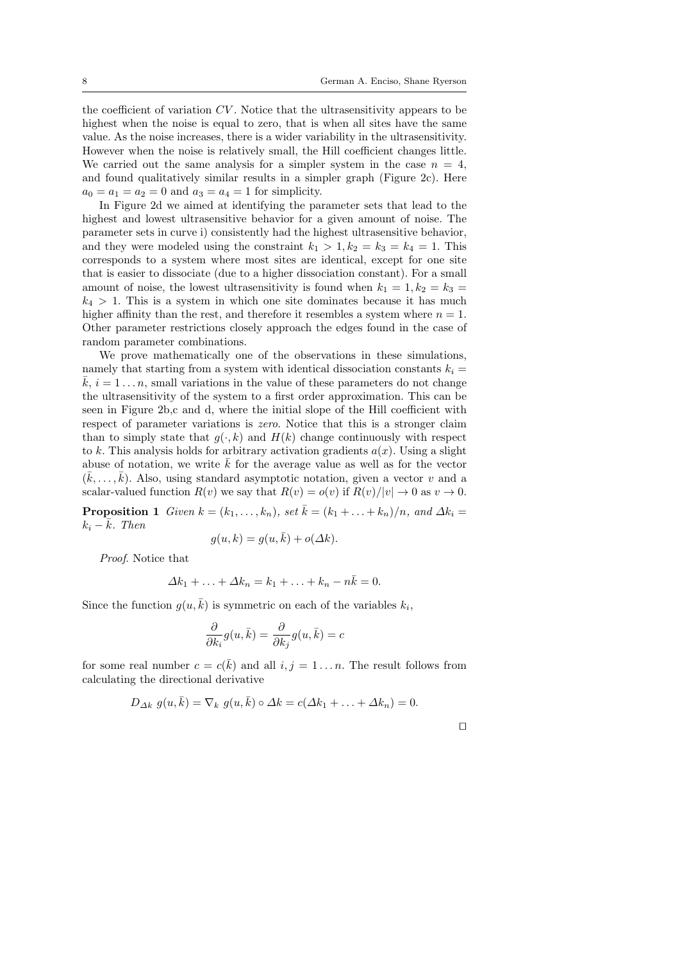the coefficient of variation CV . Notice that the ultrasensitivity appears to be highest when the noise is equal to zero, that is when all sites have the same value. As the noise increases, there is a wider variability in the ultrasensitivity. However when the noise is relatively small, the Hill coefficient changes little. We carried out the same analysis for a simpler system in the case  $n = 4$ , and found qualitatively similar results in a simpler graph (Figure 2c). Here  $a_0 = a_1 = a_2 = 0$  and  $a_3 = a_4 = 1$  for simplicity.

In Figure 2d we aimed at identifying the parameter sets that lead to the highest and lowest ultrasensitive behavior for a given amount of noise. The parameter sets in curve i) consistently had the highest ultrasensitive behavior, and they were modeled using the constraint  $k_1 > 1, k_2 = k_3 = k_4 = 1$ . This corresponds to a system where most sites are identical, except for one site that is easier to dissociate (due to a higher dissociation constant). For a small amount of noise, the lowest ultrasensitivity is found when  $k_1 = 1, k_2 = k_3 =$  $k_4 > 1$ . This is a system in which one site dominates because it has much higher affinity than the rest, and therefore it resembles a system where  $n = 1$ . Other parameter restrictions closely approach the edges found in the case of random parameter combinations.

We prove mathematically one of the observations in these simulations, namely that starting from a system with identical dissociation constants  $k_i =$  $k, i = 1 \dots n$ , small variations in the value of these parameters do not change the ultrasensitivity of the system to a first order approximation. This can be seen in Figure 2b,c and d, where the initial slope of the Hill coefficient with respect of parameter variations is *zero*. Notice that this is a stronger claim than to simply state that  $q(\cdot, k)$  and  $H(k)$  change continuously with respect to k. This analysis holds for arbitrary activation gradients  $a(x)$ . Using a slight abuse of notation, we write  $\overline{k}$  for the average value as well as for the vector  $(\bar{k}, \ldots, \bar{k})$ . Also, using standard asymptotic notation, given a vector v and a scalar-valued function  $R(v)$  we say that  $R(v) = o(v)$  if  $R(v)/|v| \to 0$  as  $v \to 0$ .

**Proposition 1** Given  $k = (k_1, \ldots, k_n)$ , set  $\overline{k} = (k_1 + \ldots + k_n)/n$ , and  $\Delta k_i =$  $k_i - \bar{k}$ . Then

$$
g(u,k) = g(u,\bar{k}) + o(\Delta k).
$$

Proof. Notice that

$$
\Delta k_1 + \ldots + \Delta k_n = k_1 + \ldots + k_n - n\bar{k} = 0.
$$

Since the function  $g(u, \bar{k})$  is symmetric on each of the variables  $k_i$ ,

$$
\frac{\partial}{\partial k_i}g(u,\bar{k})=\frac{\partial}{\partial k_j}g(u,\bar{k})=c
$$

for some real number  $c = c(\bar{k})$  and all  $i, j = 1 \dots n$ . The result follows from calculating the directional derivative

$$
D_{\Delta k} g(u, \bar{k}) = \nabla_k g(u, \bar{k}) \circ \Delta k = c(\Delta k_1 + \ldots + \Delta k_n) = 0.
$$

|  | ۰ |  |
|--|---|--|
|  |   |  |
|  |   |  |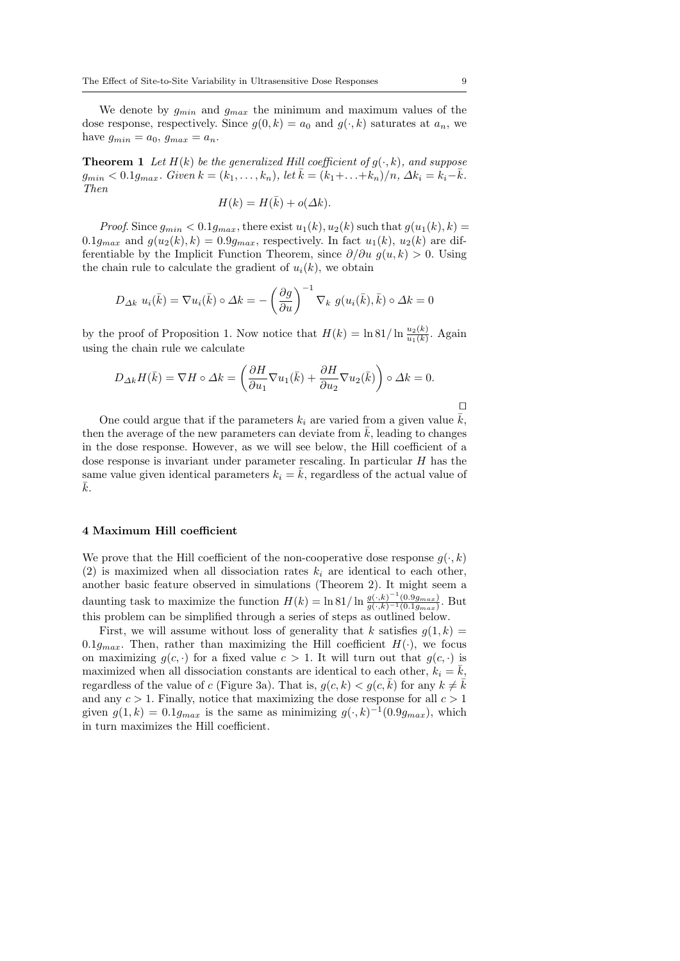We denote by  $g_{min}$  and  $g_{max}$  the minimum and maximum values of the dose response, respectively. Since  $g(0, k) = a_0$  and  $g(\cdot, k)$  saturates at  $a_n$ , we have  $g_{min} = a_0$ ,  $g_{max} = a_n$ .

**Theorem 1** Let  $H(k)$  be the generalized Hill coefficient of  $g(\cdot, k)$ , and suppose  $g_{min} < 0.1 g_{max}$ . Given  $k = (k_1, ..., k_n)$ , let  $\bar{k} = (k_1 + ... + k_n)/n$ ,  $\Delta k_i = k_i - \bar{k}$ . Then

$$
H(k) = H(\bar{k}) + o(\Delta k).
$$

*Proof.* Since  $g_{min} < 0.1 g_{max}$ , there exist  $u_1(k), u_2(k)$  such that  $g(u_1(k), k) =$  $0.1g_{max}$  and  $g(u_2(k), k) = 0.9g_{max}$ , respectively. In fact  $u_1(k), u_2(k)$  are differentiable by the Implicit Function Theorem, since  $\partial/\partial u$  g(u, k) > 0. Using the chain rule to calculate the gradient of  $u_i(k)$ , we obtain

$$
D_{\Delta k} u_i(\bar{k}) = \nabla u_i(\bar{k}) \circ \Delta k = -\left(\frac{\partial g}{\partial u}\right)^{-1} \nabla_k g(u_i(\bar{k}), \bar{k}) \circ \Delta k = 0
$$

by the proof of Proposition 1. Now notice that  $H(k) = \ln 81/\ln \frac{u_2(k)}{u_1(k)}$ . Again using the chain rule we calculate

$$
D_{\Delta k}H(\bar{k}) = \nabla H \circ \Delta k = \left(\frac{\partial H}{\partial u_1}\nabla u_1(\bar{k}) + \frac{\partial H}{\partial u_2}\nabla u_2(\bar{k})\right) \circ \Delta k = 0.
$$

 $\Box$ 

One could argue that if the parameters  $k_i$  are varied from a given value  $\bar{k}$ , then the average of the new parameters can deviate from  $\bar{k}$ , leading to changes in the dose response. However, as we will see below, the Hill coefficient of a dose response is invariant under parameter rescaling. In particular  $H$  has the same value given identical parameters  $k_i = \bar{k}$ , regardless of the actual value of  $k$ .

## 4 Maximum Hill coefficient

We prove that the Hill coefficient of the non-cooperative dose response  $q(\cdot, k)$ (2) is maximized when all dissociation rates  $k_i$  are identical to each other, another basic feature observed in simulations (Theorem 2). It might seem a daunting task to maximize the function  $H(k) = \ln 81/\ln \frac{g(\cdot,k)^{-1}(0.9g_{max})}{g(\cdot,k)^{-1}(0.1g_{max})}$ . But this problem can be simplified through a series of steps as outlined below.

First, we will assume without loss of generality that k satisfies  $g(1, k) =$ 0.1g<sub>max</sub>. Then, rather than maximizing the Hill coefficient  $H(\cdot)$ , we focus on maximizing  $g(c, \cdot)$  for a fixed value  $c > 1$ . It will turn out that  $g(c, \cdot)$  is maximized when all dissociation constants are identical to each other,  $k_i = k$ , regardless of the value of c (Figure 3a). That is,  $g(c, k) < g(c, \bar{k})$  for any  $k \neq \bar{k}$ and any  $c > 1$ . Finally, notice that maximizing the dose response for all  $c > 1$ given  $g(1,k) = 0.1g_{max}$  is the same as minimizing  $g(\cdot,k)^{-1}(0.9g_{max})$ , which in turn maximizes the Hill coefficient.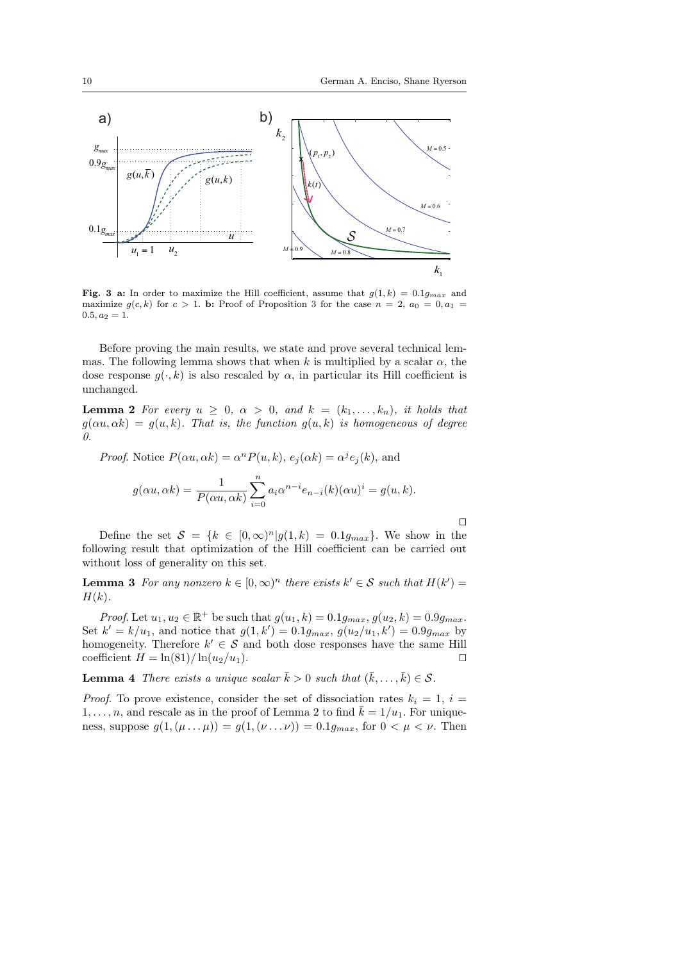

Fig. 3 a: In order to maximize the Hill coefficient, assume that  $g(1, k) = 0.1g_{max}$  and maximize  $g(c, k)$  for  $c > 1$ . b: Proof of Proposition 3 for the case  $n = 2$ ,  $a_0 = 0, a_1 = 1$  $0.5, a_2 = 1.$ 

Before proving the main results, we state and prove several technical lemmas. The following lemma shows that when k is multiplied by a scalar  $\alpha$ , the dose response  $g(\cdot, k)$  is also rescaled by  $\alpha$ , in particular its Hill coefficient is unchanged.

**Lemma 2** For every  $u \geq 0$ ,  $\alpha > 0$ , and  $k = (k_1, \ldots, k_n)$ , it holds that  $g(\alpha u, \alpha k) = g(u, k)$ . That is, the function  $g(u, k)$  is homogeneous of degree 0.

*Proof.* Notice 
$$
P(\alpha u, \alpha k) = \alpha^n P(u, k), e_j(\alpha k) = \alpha^j e_j(k)
$$
, and  

$$
g(\alpha u, \alpha k) = \frac{1}{P(\alpha u, \alpha k)} \sum_{i=0}^n a_i \alpha^{n-i} e_{n-i}(k) (\alpha u)^i = g(u, k).
$$

 $\Box$ 

Define the set  $S = \{k \in [0, \infty)^n | g(1, k) = 0.1g_{max}\}.$  We show in the following result that optimization of the Hill coefficient can be carried out without loss of generality on this set.

**Lemma 3** For any nonzero  $k \in [0,\infty)^n$  there exists  $k' \in \mathcal{S}$  such that  $H(k') =$  $H(k)$ .

*Proof.* Let  $u_1, u_2 \in \mathbb{R}^+$  be such that  $g(u_1, k) = 0.1g_{max}, g(u_2, k) = 0.9g_{max}$ . Set  $k' = k/u_1$ , and notice that  $g(1, k') = 0.1g_{max}$ ,  $g(u_2/u_1, k') = 0.9g_{max}$  by homogeneity. Therefore  $k' \in \mathcal{S}$  and both dose responses have the same Hill coefficient  $H = \ln(81)/\ln(u_2/u_1)$ .

**Lemma 4** There exists a unique scalar  $\bar{k} > 0$  such that  $(\bar{k}, \ldots, \bar{k}) \in \mathcal{S}$ .

*Proof.* To prove existence, consider the set of dissociation rates  $k_i = 1$ ,  $i =$  $1, \ldots, n$ , and rescale as in the proof of Lemma 2 to find  $\overline{k} = 1/u_1$ . For uniqueness, suppose  $g(1, (\mu \dots \mu)) = g(1, (\nu \dots \nu)) = 0.1g_{max}$ , for  $0 < \mu < \nu$ . Then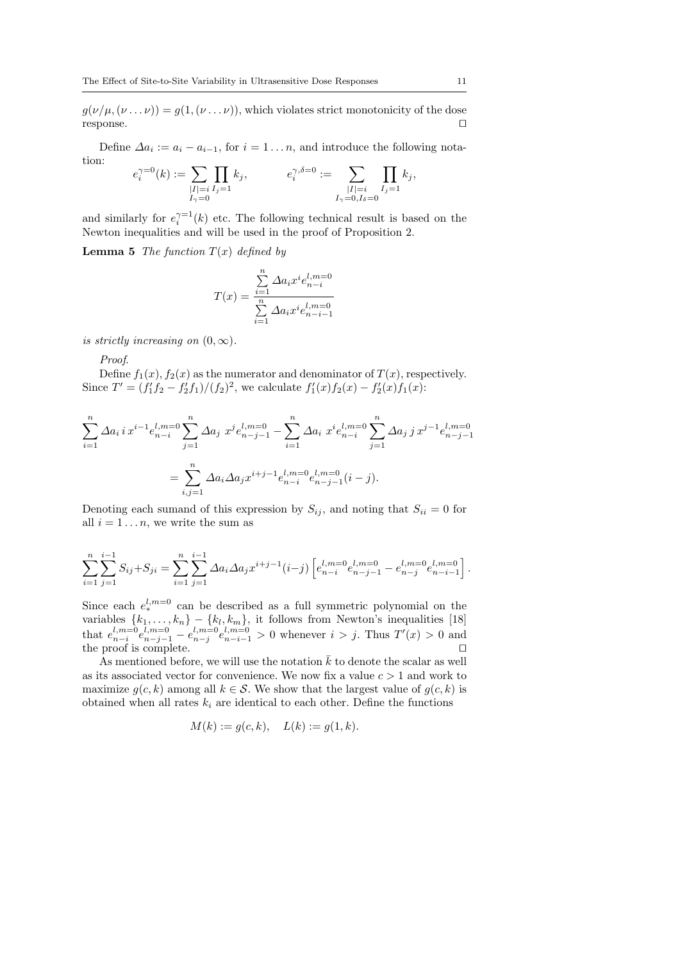$g(\nu/\mu, (\nu \dots \nu)) = g(1, (\nu \dots \nu))$ , which violates strict monotonicity of the dose  $r$ esponse.  $\Box$ 

Define  $\Delta a_i := a_i - a_{i-1}$ , for  $i = 1 \dots n$ , and introduce the following notation:

$$
e_i^{\gamma=0}(k) := \sum_{\substack{|I|=i \ I_j=1 \ I_{\gamma}=0}} \prod_{I_j} k_j, \qquad e_i^{\gamma, \delta=0} := \sum_{\substack{|I|=i \ I_j=1 \ I_j=1}} \prod_{I_j=1} k_j,
$$

and similarly for  $e_i^{\gamma=1}(k)$  etc. The following technical result is based on the Newton inequalities and will be used in the proof of Proposition 2.

**Lemma 5** The function  $T(x)$  defined by

$$
T(x) = \frac{\sum_{i=1}^{n} \Delta a_i x^i e_{n-i}^{l,m=0}}{\sum_{i=1}^{n} \Delta a_i x^i e_{n-i-1}^{l,m=0}}
$$

is strictly increasing on  $(0, \infty)$ .

Proof.

Define  $f_1(x)$ ,  $f_2(x)$  as the numerator and denominator of  $T(x)$ , respectively. Since  $T' = (f'_1f_2 - f'_2f_1)/(f_2)^2$ , we calculate  $f'_1(x)f_2(x) - f'_2(x)f_1(x)$ :

$$
\sum_{i=1}^{n} \Delta a_i i x^{i-1} e_{n-i}^{l,m=0} \sum_{j=1}^{n} \Delta a_j x^j e_{n-j-1}^{l,m=0} - \sum_{i=1}^{n} \Delta a_i x^i e_{n-i}^{l,m=0} \sum_{j=1}^{n} \Delta a_j j x^{j-1} e_{n-j-1}^{l,m=0}
$$

$$
= \sum_{i,j=1}^{n} \Delta a_i \Delta a_j x^{i+j-1} e_{n-i}^{l,m=0} e_{n-j-1}^{l,m=0} (i-j).
$$

Denoting each sumand of this expression by  $S_{ij}$ , and noting that  $S_{ii} = 0$  for all  $i = 1 \ldots n$ , we write the sum as

$$
\sum_{i=1}^{n} \sum_{j=1}^{i-1} S_{ij} + S_{ji} = \sum_{i=1}^{n} \sum_{j=1}^{i-1} \Delta a_i \Delta a_j x^{i+j-1} (i-j) \left[ e_{n-i}^{l,m=0} e_{n-j-1}^{l,m=0} - e_{n-j}^{l,m=0} e_{n-i-1}^{l,m=0} \right].
$$

Since each  $e^{l,m=0}_*$  can be described as a full symmetric polynomial on the variables  $\{k_1, \ldots, k_n\} - \{k_l, k_m\}$ , it follows from Newton's inequalities [18] that  $e_{n-i}^{l,m=0}e_{n-j-1}^{l,m=0}-e_{n-j}^{l,m=0}e_{n-i-1}^{l,m=0} > 0$  whenever  $i > j$ . Thus  $T'(x) > 0$  and the proof is complete.  $\Box$ the proof is complete.  $\square$ <br>As mentioned before, we will use the notation  $\bar{k}$  to denote the scalar as well

as its associated vector for convenience. We now fix a value  $c > 1$  and work to maximize  $g(c, k)$  among all  $k \in S$ . We show that the largest value of  $g(c, k)$  is obtained when all rates  $k_i$  are identical to each other. Define the functions

$$
M(k) := g(c, k), \quad L(k) := g(1, k).
$$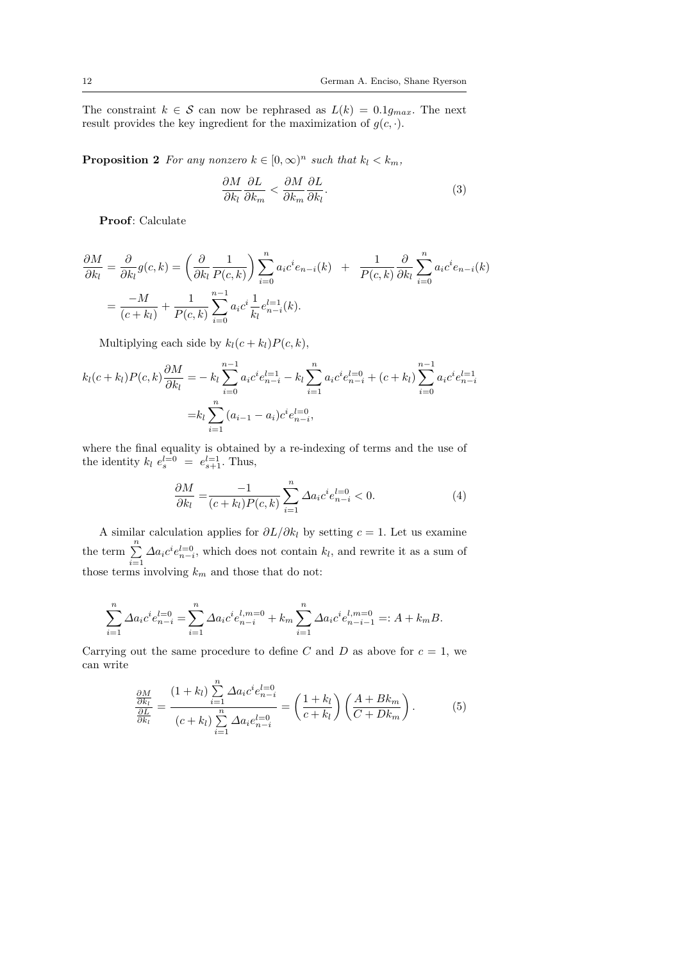The constraint  $k \in \mathcal{S}$  can now be rephrased as  $L(k) = 0.1g_{max}$ . The next result provides the key ingredient for the maximization of  $g(c, \cdot)$ .

**Proposition 2** For any nonzero  $k \in [0,\infty)^n$  such that  $k_l < k_m$ ,

$$
\frac{\partial M}{\partial k_l} \frac{\partial L}{\partial k_m} < \frac{\partial M}{\partial k_m} \frac{\partial L}{\partial k_l}.\tag{3}
$$

Proof: Calculate

$$
\frac{\partial M}{\partial k_l} = \frac{\partial}{\partial k_l} g(c, k) = \left(\frac{\partial}{\partial k_l} \frac{1}{P(c, k)}\right) \sum_{i=0}^n a_i c^i e_{n-i}(k) + \frac{1}{P(c, k)} \frac{\partial}{\partial k_l} \sum_{i=0}^n a_i c^i e_{n-i}(k)
$$

$$
= \frac{-M}{(c + k_l)} + \frac{1}{P(c, k)} \sum_{i=0}^{n-1} a_i c^i \frac{1}{k_l} e_{n-i}^{l=1}(k).
$$

Multiplying each side by  $k_l(c + k_l)P(c, k)$ ,

$$
k_l(c+k_l)P(c,k)\frac{\partial M}{\partial k_l} = -k_l \sum_{i=0}^{n-1} a_i c^i e_{n-i}^{l=1} - k_l \sum_{i=1}^n a_i c^i e_{n-i}^{l=0} + (c+k_l) \sum_{i=0}^{n-1} a_i c^i e_{n-i}^{l=1}
$$

$$
= k_l \sum_{i=1}^n (a_{i-1} - a_i) c^i e_{n-i}^{l=0},
$$

where the final equality is obtained by a re-indexing of terms and the use of the identity  $k_l e_s^{l=0} = e_{s+1}^{l=1}$ . Thus,

$$
\frac{\partial M}{\partial k_l} = \frac{-1}{(c+k_l)P(c,k)} \sum_{i=1}^n \Delta a_i c^i e_{n-i}^{l=0} < 0. \tag{4}
$$

A similar calculation applies for  $\partial L/\partial k_l$  by setting  $c = 1$ . Let us examine the term  $\sum_{n=1}^{\infty}$  $\sum_{i=1} \Delta a_i c^i e_{n-i}^{l=0}$ , which does not contain  $k_l$ , and rewrite it as a sum of those terms involving  $k_m$  and those that do not:

$$
\sum_{i=1}^{n} \Delta a_i c^i e_{n-i}^{l=0} = \sum_{i=1}^{n} \Delta a_i c^i e_{n-i}^{l,m=0} + k_m \sum_{i=1}^{n} \Delta a_i c^i e_{n-i-1}^{l,m=0} =: A + k_m B.
$$

Carrying out the same procedure to define C and D as above for  $c = 1$ , we can write

$$
\frac{\frac{\partial M}{\partial k_l}}{\frac{\partial L}{\partial k_l}} = \frac{(1+k_l)\sum\limits_{i=1}^n \Delta a_i c^i e_{n-i}^{l=0}}{(c+k_l)\sum\limits_{i=1}^n \Delta a_i e_{n-i}^{l=0}} = \left(\frac{1+k_l}{c+k_l}\right) \left(\frac{A+Bk_m}{C+Dk_m}\right). \tag{5}
$$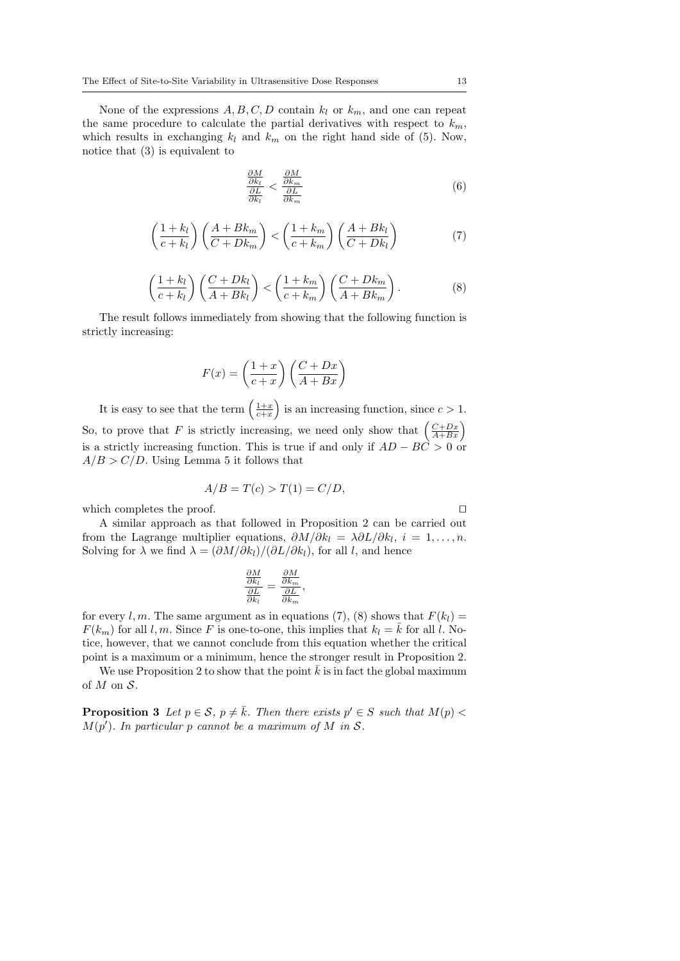None of the expressions  $A, B, C, D$  contain  $k_l$  or  $k_m$ , and one can repeat the same procedure to calculate the partial derivatives with respect to  $k_m$ , which results in exchanging  $k_l$  and  $k_m$  on the right hand side of (5). Now, notice that (3) is equivalent to

$$
\frac{\frac{\partial M}{\partial k_l}}{\frac{\partial L}{\partial k_l}} < \frac{\frac{\partial M}{\partial k_m}}{\frac{\partial L}{\partial k_m}}\tag{6}
$$

$$
\left(\frac{1+k_l}{c+k_l}\right)\left(\frac{A+Bk_m}{C+Dk_m}\right) < \left(\frac{1+k_m}{c+k_m}\right)\left(\frac{A+Bk_l}{C+Dk_l}\right) \tag{7}
$$

$$
\left(\frac{1+k_l}{c+k_l}\right)\left(\frac{C+Dk_l}{A+Bk_l}\right) < \left(\frac{1+k_m}{c+k_m}\right)\left(\frac{C+Dk_m}{A+Bk_m}\right). \tag{8}
$$

The result follows immediately from showing that the following function is strictly increasing:

$$
F(x) = \left(\frac{1+x}{c+x}\right) \left(\frac{C+Dx}{A+Bx}\right)
$$

It is easy to see that the term  $\left(\frac{1+x}{c+x}\right)$  is an increasing function, since  $c > 1$ . So, to prove that F is strictly increasing, we need only show that  $\left(\frac{C+Dx}{A+Bx}\right)$ is a strictly increasing function. This is true if and only if  $AD - BC > 0$  or  $A/B > C/D$ . Using Lemma 5 it follows that

$$
A/B = T(c) > T(1) = C/D,
$$

which completes the proof.  $\Box$ 

A similar approach as that followed in Proposition 2 can be carried out from the Lagrange multiplier equations,  $\partial M/\partial k_l = \lambda \partial L/\partial k_l$ ,  $i = 1, ..., n$ . Solving for  $\lambda$  we find  $\lambda = (\partial M/\partial k_l)/(\partial L/\partial k_l)$ , for all l, and hence

$$
\frac{\frac{\partial M}{\partial k_l}}{\frac{\partial L}{\partial k_l}} = \frac{\frac{\partial M}{\partial k_m}}{\frac{\partial L}{\partial k_m}},
$$

for every l, m. The same argument as in equations (7), (8) shows that  $F(k_l)$  =  $F(k_m)$  for all l, m. Since F is one-to-one, this implies that  $k_l = \bar{k}$  for all l. Notice, however, that we cannot conclude from this equation whether the critical point is a maximum or a minimum, hence the stronger result in Proposition 2.

We use Proposition 2 to show that the point  $\bar{k}$  is in fact the global maximum of  $M$  on  $S$ .

**Proposition 3** Let  $p \in \mathcal{S}$ ,  $p \neq \overline{k}$ . Then there exists  $p' \in S$  such that  $M(p)$  $M(p')$ . In particular p cannot be a maximum of M in S.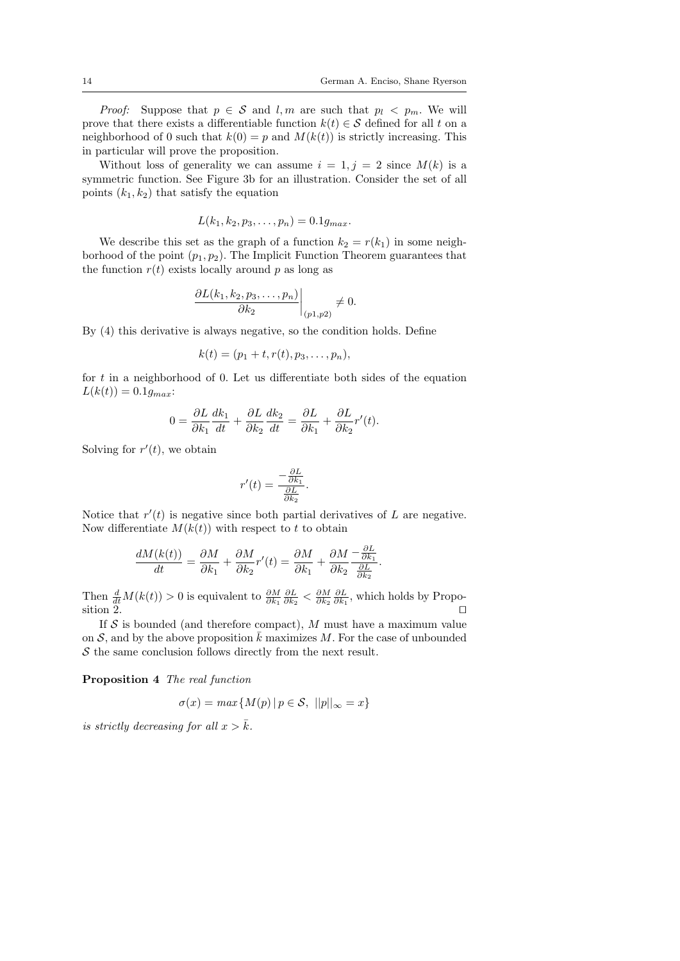.

*Proof:* Suppose that  $p \in S$  and  $l, m$  are such that  $p_l < p_m$ . We will prove that there exists a differentiable function  $k(t) \in \mathcal{S}$  defined for all t on a neighborhood of 0 such that  $k(0) = p$  and  $M(k(t))$  is strictly increasing. This in particular will prove the proposition.

Without loss of generality we can assume  $i = 1, j = 2$  since  $M(k)$  is a symmetric function. See Figure 3b for an illustration. Consider the set of all points  $(k_1, k_2)$  that satisfy the equation

$$
L(k_1, k_2, p_3, \ldots, p_n) = 0.1 g_{max}.
$$

We describe this set as the graph of a function  $k_2 = r(k_1)$  in some neighborhood of the point  $(p_1, p_2)$ . The Implicit Function Theorem guarantees that the function  $r(t)$  exists locally around p as long as

$$
\left.\frac{\partial L(k_1,k_2,p_3,\ldots,p_n)}{\partial k_2}\right|_{(p1,p2)}\neq 0.
$$

By (4) this derivative is always negative, so the condition holds. Define

$$
k(t) = (p_1 + t, r(t), p_3, \ldots, p_n),
$$

for  $t$  in a neighborhood of 0. Let us differentiate both sides of the equation  $L(k(t)) = 0.1g_{max}$ 

$$
0 = \frac{\partial L}{\partial k_1} \frac{dk_1}{dt} + \frac{\partial L}{\partial k_2} \frac{dk_2}{dt} = \frac{\partial L}{\partial k_1} + \frac{\partial L}{\partial k_2} r'(t).
$$

Solving for  $r'(t)$ , we obtain

$$
r'(t) = \frac{-\frac{\partial L}{\partial k_1}}{\frac{\partial L}{\partial k_2}}.
$$

Notice that  $r'(t)$  is negative since both partial derivatives of  $L$  are negative. Now differentiate  $M(k(t))$  with respect to t to obtain

$$
\frac{dM(k(t))}{dt} = \frac{\partial M}{\partial k_1} + \frac{\partial M}{\partial k_2}r'(t) = \frac{\partial M}{\partial k_1} + \frac{\partial M}{\partial k_2} \frac{-\frac{\partial L}{\partial k_1}}{\frac{\partial L}{\partial k_2}}
$$

Then  $\frac{d}{dt}M(k(t)) > 0$  is equivalent to  $\frac{\partial M}{\partial k_1} \frac{\partial L}{\partial k_2} < \frac{\partial M}{\partial k_1} \frac{\partial L}{\partial k_1}$ , which holds by Proposition 2.  $\Box$ 

If  $S$  is bounded (and therefore compact), M must have a maximum value on S, and by the above proposition  $\bar{k}$  maximizes M. For the case of unbounded  $S$  the same conclusion follows directly from the next result.

Proposition 4 The real function

$$
\sigma(x) = \max\{M(p) \, | \, p \in \mathcal{S}, \, ||p||_{\infty} = x\}
$$

is strictly decreasing for all  $x > \bar{k}$ .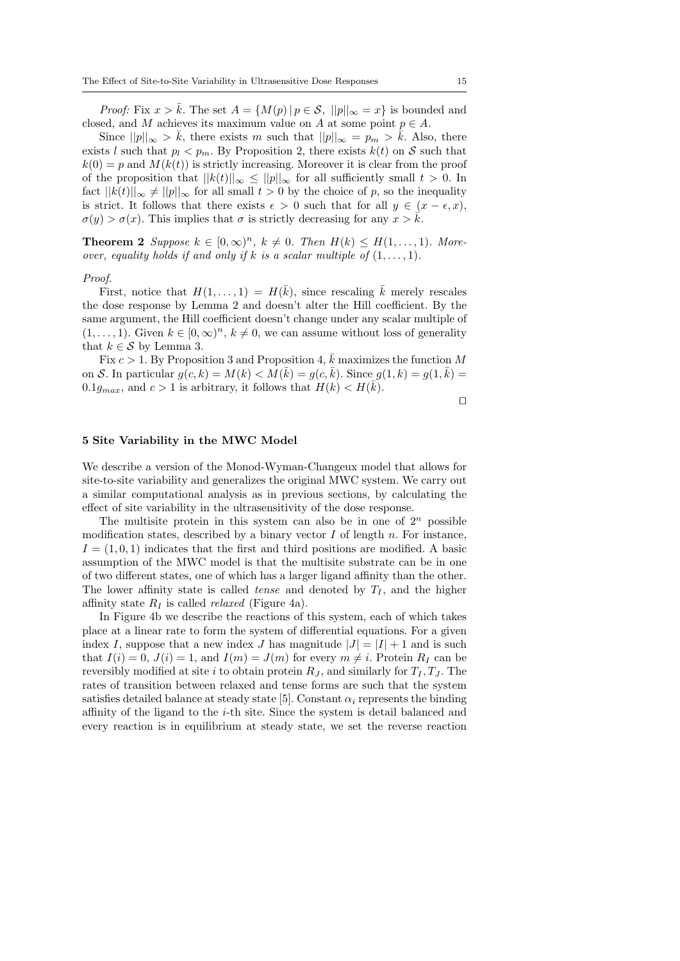*Proof:* Fix  $x > \bar{k}$ . The set  $A = \{M(p) | p \in \mathcal{S}, ||p||_{\infty} = x\}$  is bounded and closed, and M achieves its maximum value on A at some point  $p \in A$ .

Since  $||p||_{\infty} > \bar{k}$ , there exists m such that  $||p||_{\infty} = p_m > \bar{k}$ . Also, there exists l such that  $p_l < p_m$ . By Proposition 2, there exists  $k(t)$  on S such that  $k(0) = p$  and  $M(k(t))$  is strictly increasing. Moreover it is clear from the proof of the proposition that  $||k(t)||_{\infty} \leq ||p||_{\infty}$  for all sufficiently small  $t > 0$ . In fact  $||k(t)||_{\infty} \neq ||p||_{\infty}$  for all small  $t > 0$  by the choice of p, so the inequality is strict. It follows that there exists  $\epsilon > 0$  such that for all  $y \in (x - \epsilon, x)$ ,  $\sigma(y) > \sigma(x)$ . This implies that  $\sigma$  is strictly decreasing for any  $x > \bar{k}$ .

**Theorem 2** Suppose  $k \in [0,\infty)^n$ ,  $k \neq 0$ . Then  $H(k) \leq H(1,\ldots,1)$ . Moreover, equality holds if and only if k is a scalar multiple of  $(1, \ldots, 1)$ .

#### Proof.

First, notice that  $H(1,\ldots,1) = H(\bar{k})$ , since rescaling  $\bar{k}$  merely rescales the dose response by Lemma 2 and doesn't alter the Hill coefficient. By the same argument, the Hill coefficient doesn't change under any scalar multiple of  $(1, \ldots, 1)$ . Given  $k \in [0, \infty)^n$ ,  $k \neq 0$ , we can assume without loss of generality that  $k \in \mathcal{S}$  by Lemma 3.

Fix  $c > 1$ . By Proposition 3 and Proposition 4,  $\overline{k}$  maximizes the function M on S. In particular  $g(c, k) = M(k) < M(\overline{k}) = g(c, \overline{k})$ . Since  $g(1, k) = g(1, \overline{k}) =$  $0.1g_{max}$ , and  $c > 1$  is arbitrary, it follows that  $H(k) < H(\overline{k})$ .

 $\Box$ 

#### 5 Site Variability in the MWC Model

We describe a version of the Monod-Wyman-Changeux model that allows for site-to-site variability and generalizes the original MWC system. We carry out a similar computational analysis as in previous sections, by calculating the effect of site variability in the ultrasensitivity of the dose response.

The multisite protein in this system can also be in one of  $2^n$  possible modification states, described by a binary vector  $I$  of length  $n$ . For instance,  $I = (1, 0, 1)$  indicates that the first and third positions are modified. A basic assumption of the MWC model is that the multisite substrate can be in one of two different states, one of which has a larger ligand affinity than the other. The lower affinity state is called *tense* and denoted by  $T_I$ , and the higher affinity state  $R_I$  is called *relaxed* (Figure 4a).

In Figure 4b we describe the reactions of this system, each of which takes place at a linear rate to form the system of differential equations. For a given index I, suppose that a new index J has magnitude  $|J| = |I| + 1$  and is such that  $I(i) = 0$ ,  $J(i) = 1$ , and  $I(m) = J(m)$  for every  $m \neq i$ . Protein  $R_I$  can be reversibly modified at site i to obtain protein  $R_J$ , and similarly for  $T_I, T_J$ . The rates of transition between relaxed and tense forms are such that the system satisfies detailed balance at steady state [5]. Constant  $\alpha_i$  represents the binding affinity of the ligand to the i-th site. Since the system is detail balanced and every reaction is in equilibrium at steady state, we set the reverse reaction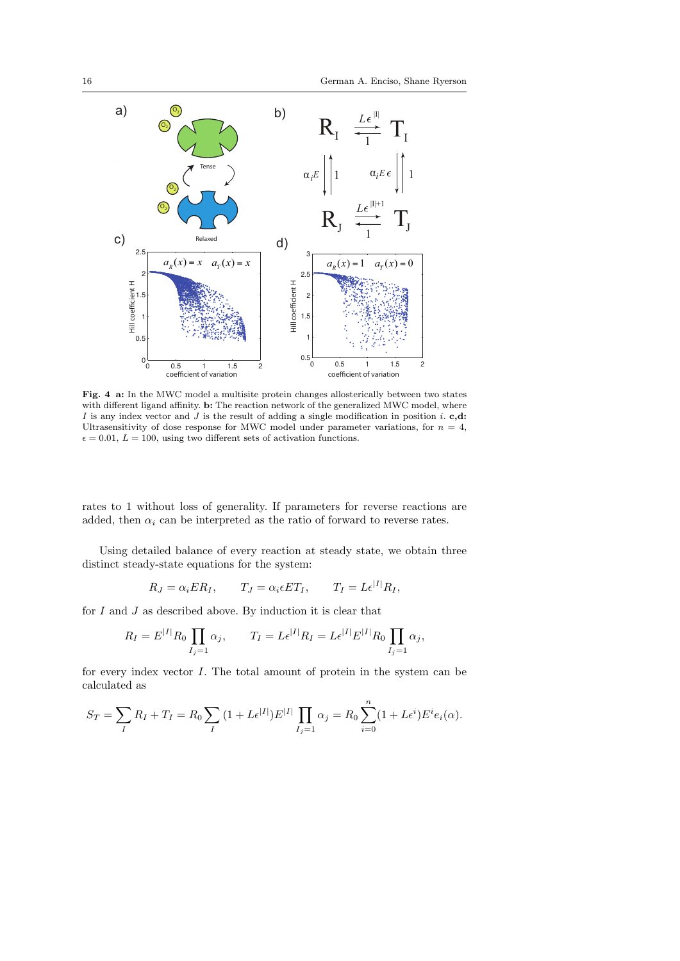

Fig. 4 a: In the MWC model a multisite protein changes allosterically between two states with different ligand affinity. b: The reaction network of the generalized MWC model, where I is any index vector and J is the result of adding a single modification in position i. c,d: Ultrasensitivity of dose response for MWC model under parameter variations, for  $n = 4$ ,  $\epsilon = 0.01, \, L = 100,$  using two different sets of activation functions.

rates to 1 without loss of generality. If parameters for reverse reactions are added, then  $\alpha_i$  can be interpreted as the ratio of forward to reverse rates.

Using detailed balance of every reaction at steady state, we obtain three distinct steady-state equations for the system:

$$
R_J = \alpha_i ER_I, \qquad T_J = \alpha_i \epsilon ET_I, \qquad T_I = L\epsilon^{|I|}R_I,
$$

for  $I$  and  $J$  as described above. By induction it is clear that

$$
R_I = E^{|I|} R_0 \prod_{I_j=1} \alpha_j, \qquad T_I = L \epsilon^{|I|} R_I = L \epsilon^{|I|} E^{|I|} R_0 \prod_{I_j=1} \alpha_j,
$$

for every index vector I. The total amount of protein in the system can be calculated as

$$
S_T = \sum_{I} R_I + T_I = R_0 \sum_{I} (1 + L\epsilon^{|I|}) E^{|I|} \prod_{I_j=1} \alpha_j = R_0 \sum_{i=0}^{n} (1 + L\epsilon^i) E^i e_i(\alpha).
$$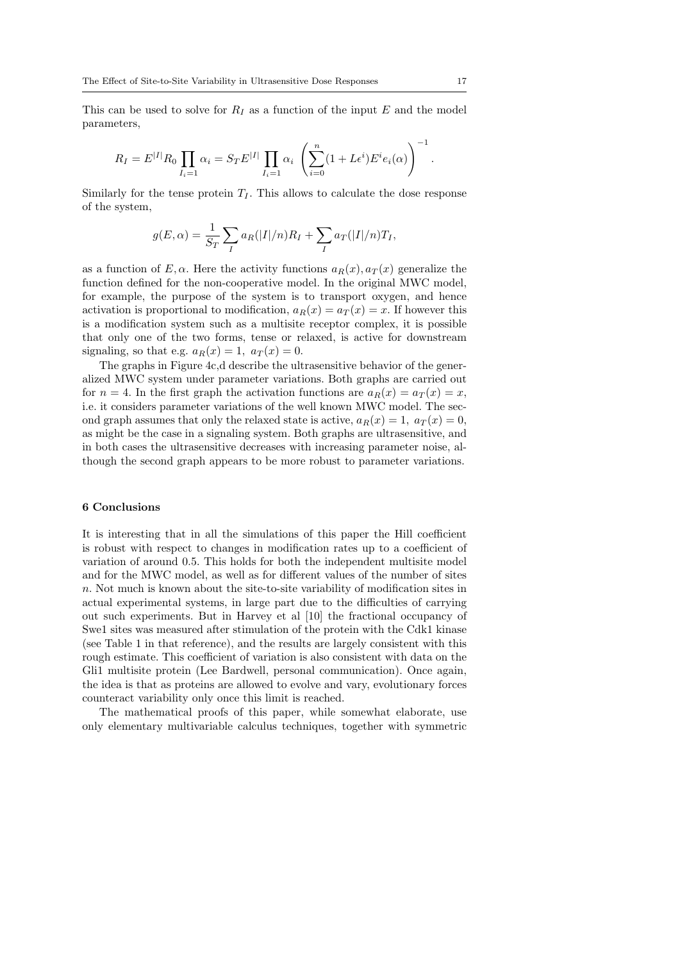This can be used to solve for  $R_I$  as a function of the input E and the model parameters,

$$
R_I = E^{|I|} R_0 \prod_{I_i=1} \alpha_i = S_T E^{|I|} \prod_{I_i=1} \alpha_i \left( \sum_{i=0}^n (1 + L \epsilon^i) E^i e_i(\alpha) \right)^{-1}.
$$

Similarly for the tense protein  $T_I$ . This allows to calculate the dose response of the system,

$$
g(E,\alpha) = \frac{1}{S_T} \sum_{I} a_R(|I|/n) R_I + \sum_{I} a_T(|I|/n) T_I,
$$

as a function of E,  $\alpha$ . Here the activity functions  $a_R(x)$ ,  $a_T(x)$  generalize the function defined for the non-cooperative model. In the original MWC model, for example, the purpose of the system is to transport oxygen, and hence activation is proportional to modification,  $a_R(x) = a_T(x) = x$ . If however this is a modification system such as a multisite receptor complex, it is possible that only one of the two forms, tense or relaxed, is active for downstream signaling, so that e.g.  $a_R(x) = 1$ ,  $a_T(x) = 0$ .

The graphs in Figure 4c,d describe the ultrasensitive behavior of the generalized MWC system under parameter variations. Both graphs are carried out for  $n = 4$ . In the first graph the activation functions are  $a_R(x) = a_T(x) = x$ , i.e. it considers parameter variations of the well known MWC model. The second graph assumes that only the relaxed state is active,  $a_R(x) = 1$ ,  $a_T(x) = 0$ , as might be the case in a signaling system. Both graphs are ultrasensitive, and in both cases the ultrasensitive decreases with increasing parameter noise, although the second graph appears to be more robust to parameter variations.

## 6 Conclusions

It is interesting that in all the simulations of this paper the Hill coefficient is robust with respect to changes in modification rates up to a coefficient of variation of around 0.5. This holds for both the independent multisite model and for the MWC model, as well as for different values of the number of sites n. Not much is known about the site-to-site variability of modification sites in actual experimental systems, in large part due to the difficulties of carrying out such experiments. But in Harvey et al [10] the fractional occupancy of Swe1 sites was measured after stimulation of the protein with the Cdk1 kinase (see Table 1 in that reference), and the results are largely consistent with this rough estimate. This coefficient of variation is also consistent with data on the Gli1 multisite protein (Lee Bardwell, personal communication). Once again, the idea is that as proteins are allowed to evolve and vary, evolutionary forces counteract variability only once this limit is reached.

The mathematical proofs of this paper, while somewhat elaborate, use only elementary multivariable calculus techniques, together with symmetric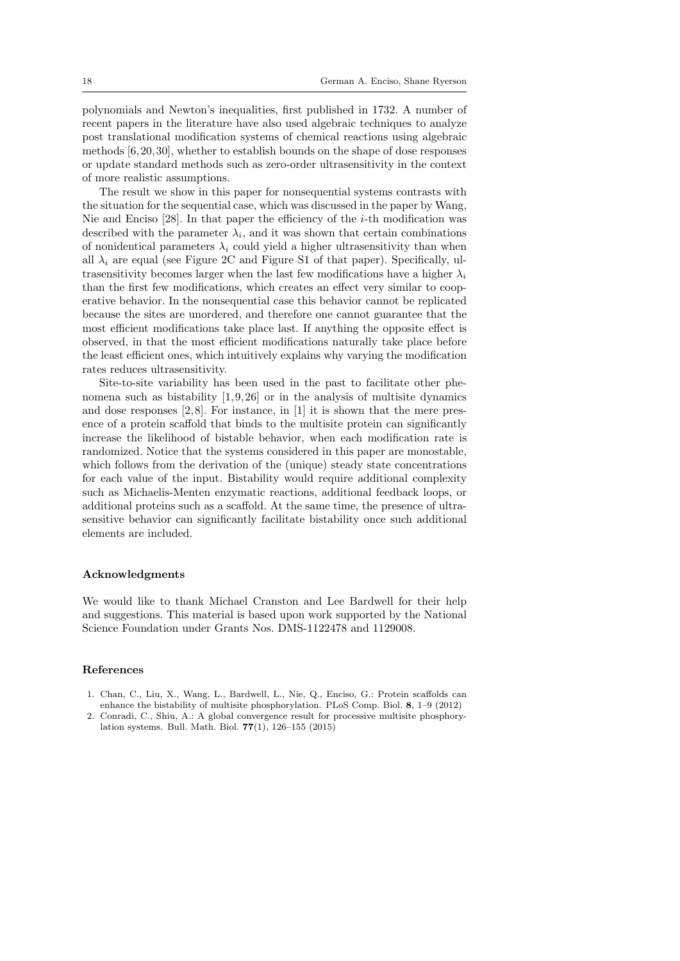polynomials and Newton's inequalities, first published in 1732. A number of recent papers in the literature have also used algebraic techniques to analyze post translational modification systems of chemical reactions using algebraic methods [6, 20, 30], whether to establish bounds on the shape of dose responses or update standard methods such as zero-order ultrasensitivity in the context of more realistic assumptions.

The result we show in this paper for nonsequential systems contrasts with the situation for the sequential case, which was discussed in the paper by Wang, Nie and Enciso  $[28]$ . In that paper the efficiency of the *i*-th modification was described with the parameter  $\lambda_i$ , and it was shown that certain combinations of nonidentical parameters  $\lambda_i$  could yield a higher ultrasensitivity than when all  $\lambda_i$  are equal (see Figure 2C and Figure S1 of that paper). Specifically, ultrasensitivity becomes larger when the last few modifications have a higher  $\lambda_i$ than the first few modifications, which creates an effect very similar to cooperative behavior. In the nonsequential case this behavior cannot be replicated because the sites are unordered, and therefore one cannot guarantee that the most efficient modifications take place last. If anything the opposite effect is observed, in that the most efficient modifications naturally take place before the least efficient ones, which intuitively explains why varying the modification rates reduces ultrasensitivity.

Site-to-site variability has been used in the past to facilitate other phenomena such as bistability  $[1, 9, 26]$  or in the analysis of multisite dynamics and dose responses [2, 8]. For instance, in [1] it is shown that the mere presence of a protein scaffold that binds to the multisite protein can significantly increase the likelihood of bistable behavior, when each modification rate is randomized. Notice that the systems considered in this paper are monostable, which follows from the derivation of the (unique) steady state concentrations for each value of the input. Bistability would require additional complexity such as Michaelis-Menten enzymatic reactions, additional feedback loops, or additional proteins such as a scaffold. At the same time, the presence of ultrasensitive behavior can significantly facilitate bistability once such additional elements are included.

#### Acknowledgments

We would like to thank Michael Cranston and Lee Bardwell for their help and suggestions. This material is based upon work supported by the National Science Foundation under Grants Nos. DMS-1122478 and 1129008.

#### References

- 1. Chan, C., Liu, X., Wang, L., Bardwell, L., Nie, Q., Enciso, G.: Protein scaffolds can enhance the bistability of multisite phosphorylation. PLoS Comp. Biol. 8, 1–9 (2012)
- 2. Conradi, C., Shiu, A.: A global convergence result for processive multisite phosphorylation systems. Bull. Math. Biol. 77(1), 126–155 (2015)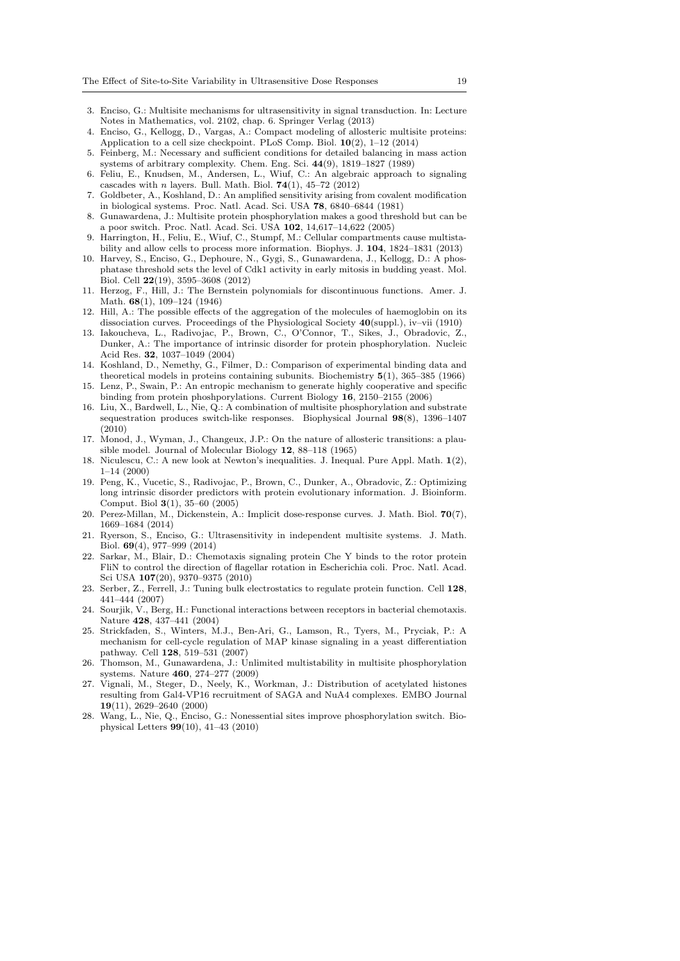- 3. Enciso, G.: Multisite mechanisms for ultrasensitivity in signal transduction. In: Lecture Notes in Mathematics, vol. 2102, chap. 6. Springer Verlag (2013)
- 4. Enciso, G., Kellogg, D., Vargas, A.: Compact modeling of allosteric multisite proteins: Application to a cell size checkpoint. PLoS Comp. Biol. 10(2), 1–12 (2014)
- 5. Feinberg, M.: Necessary and sufficient conditions for detailed balancing in mass action systems of arbitrary complexity. Chem. Eng. Sci. 44(9), 1819–1827 (1989)
- 6. Feliu, E., Knudsen, M., Andersen, L., Wiuf, C.: An algebraic approach to signaling cascades with n layers. Bull. Math. Biol.  $74(1)$ ,  $45-72$  (2012)
- 7. Goldbeter, A., Koshland, D.: An amplified sensitivity arising from covalent modification in biological systems. Proc. Natl. Acad. Sci. USA 78, 6840–6844 (1981)
- 8. Gunawardena, J.: Multisite protein phosphorylation makes a good threshold but can be a poor switch. Proc. Natl. Acad. Sci. USA 102, 14,617–14,622 (2005)
- 9. Harrington, H., Feliu, E., Wiuf, C., Stumpf, M.: Cellular compartments cause multistability and allow cells to process more information. Biophys. J. 104, 1824–1831 (2013)
- 10. Harvey, S., Enciso, G., Dephoure, N., Gygi, S., Gunawardena, J., Kellogg, D.: A phosphatase threshold sets the level of Cdk1 activity in early mitosis in budding yeast. Mol. Biol. Cell 22(19), 3595–3608 (2012)
- 11. Herzog, F., Hill, J.: The Bernstein polynomials for discontinuous functions. Amer. J. Math. 68(1), 109–124 (1946)
- 12. Hill, A.: The possible effects of the aggregation of the molecules of haemoglobin on its dissociation curves. Proceedings of the Physiological Society 40(suppl.), iv–vii (1910)
- 13. Iakoucheva, L., Radivojac, P., Brown, C., O'Connor, T., Sikes, J., Obradovic, Z., Dunker, A.: The importance of intrinsic disorder for protein phosphorylation. Nucleic Acid Res. 32, 1037–1049 (2004)
- 14. Koshland, D., Nemethy, G., Filmer, D.: Comparison of experimental binding data and theoretical models in proteins containing subunits. Biochemistry 5(1), 365–385 (1966)
- 15. Lenz, P., Swain, P.: An entropic mechanism to generate highly cooperative and specific binding from protein phoshporylations. Current Biology 16, 2150–2155 (2006)
- 16. Liu, X., Bardwell, L., Nie, Q.: A combination of multisite phosphorylation and substrate sequestration produces switch-like responses. Biophysical Journal 98(8), 1396–1407 (2010)
- 17. Monod, J., Wyman, J., Changeux, J.P.: On the nature of allosteric transitions: a plausible model. Journal of Molecular Biology 12, 88–118 (1965)
- 18. Niculescu, C.: A new look at Newton's inequalities. J. Inequal. Pure Appl. Math. 1(2), 1–14 (2000)
- 19. Peng, K., Vucetic, S., Radivojac, P., Brown, C., Dunker, A., Obradovic, Z.: Optimizing long intrinsic disorder predictors with protein evolutionary information. J. Bioinform. Comput. Biol 3(1), 35–60 (2005)
- 20. Perez-Millan, M., Dickenstein, A.: Implicit dose-response curves. J. Math. Biol. 70(7), 1669–1684 (2014)
- 21. Ryerson, S., Enciso, G.: Ultrasensitivity in independent multisite systems. J. Math. Biol. 69(4), 977–999 (2014)
- 22. Sarkar, M., Blair, D.: Chemotaxis signaling protein Che Y binds to the rotor protein FliN to control the direction of flagellar rotation in Escherichia coli. Proc. Natl. Acad. Sci USA 107(20), 9370–9375 (2010)
- 23. Serber, Z., Ferrell, J.: Tuning bulk electrostatics to regulate protein function. Cell 128, 441–444 (2007)
- 24. Sourjik, V., Berg, H.: Functional interactions between receptors in bacterial chemotaxis. Nature 428, 437–441 (2004)
- 25. Strickfaden, S., Winters, M.J., Ben-Ari, G., Lamson, R., Tyers, M., Pryciak, P.: A mechanism for cell-cycle regulation of MAP kinase signaling in a yeast differentiation pathway. Cell 128, 519–531 (2007)
- 26. Thomson, M., Gunawardena, J.: Unlimited multistability in multisite phosphorylation systems. Nature 460, 274–277 (2009)
- 27. Vignali, M., Steger, D., Neely, K., Workman, J.: Distribution of acetylated histones resulting from Gal4-VP16 recruitment of SAGA and NuA4 complexes. EMBO Journal 19(11), 2629–2640 (2000)
- 28. Wang, L., Nie, Q., Enciso, G.: Nonessential sites improve phosphorylation switch. Biophysical Letters 99(10), 41–43 (2010)